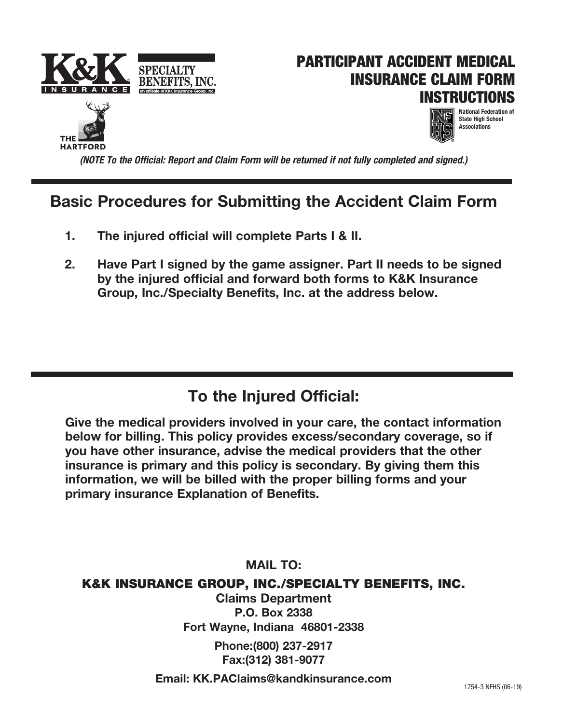







*(NOTE To the Official: Report and Claim Form will be returned if not fully completed and signed.)*

## **Basic Procedures for Submitting the Accident Claim Form**

- **1. The injured official will complete Parts I & II.**
- **2. Have Part I signed by the game assigner. Part II needs to be signed by the injured official and forward both forms to K&K Insurance Group, Inc./Specialty Benefits, Inc. at the address below.**

## **To the Injured Official:**

**Give the medical providers involved in your care, the contact information below for billing. This policy provides excess/secondary coverage, so if you have other insurance, advise the medical providers that the other insurance is primary and this policy is secondary. By giving them this information, we will be billed with the proper billing forms and your primary insurance Explanation of Benefits.**

### **MAIL TO:**

### K&K INSURANCE GROUP, INC./SPECIALTY BENEFITS, INC.

**Claims Department P.O. Box 2338 Fort Wayne, Indiana 46801-2338**

> **Phone:(800) 237-2917 Fax:(312) 381-9077**

**Email: KK.PAClaims@kandkinsurance.com**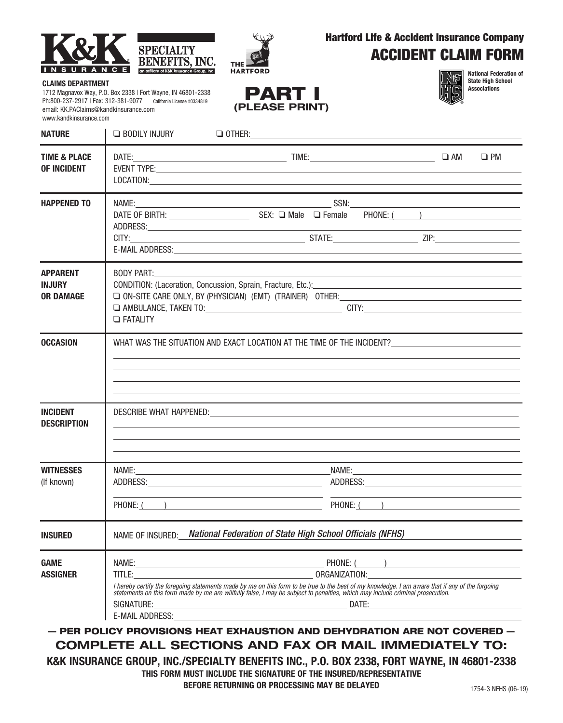



 $0.5<sub>1</sub>$ 

### Hartford Life & Accident Insurance Company ACCIDENT CLAIM FORM

#### **CLAIMS DEPARTMENT**

1712 Magnavox Way, P.O. Box 2338 | Fort Wayne, IN 46801-2338 Ph:800-237-2917 | Fax: 312-381-9077 California License #0334819 email: KK.PAClaims@kandkinsurance.com www.kandkinsurance.com

| PART I         |
|----------------|
| (PLEASE PRINT) |



**National Federation of State High School Associations**

| <b>NATURE</b>                                        | <b>BODILY INJURY</b>                                                                                                                                                                                                              |                                                                                                                                                                                                                                                                                                                                                                                                                                                                 |             |           |
|------------------------------------------------------|-----------------------------------------------------------------------------------------------------------------------------------------------------------------------------------------------------------------------------------|-----------------------------------------------------------------------------------------------------------------------------------------------------------------------------------------------------------------------------------------------------------------------------------------------------------------------------------------------------------------------------------------------------------------------------------------------------------------|-------------|-----------|
| <b>TIME &amp; PLACE</b><br><b>OF INCIDENT</b>        |                                                                                                                                                                                                                                   | EVENT TYPE: University of the contract of the contract of the contract of the contract of the contract of the contract of the contract of the contract of the contract of the contract of the contract of the contract of the<br>LOCATION: New York Contract the Contract of the Contract of the Contract of the Contract of the Contract of the Contract of the Contract of the Contract of the Contract of the Contract of the Contract of the Contract of th |             | $\Box$ PM |
| <b>HAPPENED TO</b>                                   |                                                                                                                                                                                                                                   |                                                                                                                                                                                                                                                                                                                                                                                                                                                                 |             |           |
| <b>APPARENT</b><br><b>INJURY</b><br><b>OR DAMAGE</b> | <b>BODY PART:</b><br><b>D</b> FATALITY                                                                                                                                                                                            |                                                                                                                                                                                                                                                                                                                                                                                                                                                                 |             |           |
| <b>OCCASION</b>                                      |                                                                                                                                                                                                                                   |                                                                                                                                                                                                                                                                                                                                                                                                                                                                 |             |           |
| <b>INCIDENT</b><br><b>DESCRIPTION</b>                | ,我们也不会有什么。""我们的人,我们也不会有什么?""我们的人,我们也不会有什么?""我们的人,我们也不会有什么?""我们的人,我们也不会有什么?""我们的人                                                                                                                                                  |                                                                                                                                                                                                                                                                                                                                                                                                                                                                 |             |           |
| <b>WITNESSES</b>                                     |                                                                                                                                                                                                                                   | NAME: NAME:                                                                                                                                                                                                                                                                                                                                                                                                                                                     | NAME: NAME: |           |
| (If known)                                           |                                                                                                                                                                                                                                   |                                                                                                                                                                                                                                                                                                                                                                                                                                                                 |             |           |
|                                                      |                                                                                                                                                                                                                                   | the control of the control of the control of the control of the control of the control of                                                                                                                                                                                                                                                                                                                                                                       |             |           |
| <b>INSURED</b>                                       | NAME OF INSURED: National Federation of State High School Officials (NFHS)                                                                                                                                                        |                                                                                                                                                                                                                                                                                                                                                                                                                                                                 |             |           |
| <b>GAME</b><br><b>ASSIGNER</b>                       | I hereby certify the foregoing statements made by me on this form to be true to the best of my knowledge. I am aware that if any of the forgoing<br>statements on this form made by me are willfully false, I may be subject to p |                                                                                                                                                                                                                                                                                                                                                                                                                                                                 |             |           |

**COMPLETE ALL SECTIONS AND FAX OR MAIL IMMEDIATELY TO: K&K INSURANCE GROUP, INC./SPECIALTY BENEFITS INC., P.O. BOX 2338, FORT WAYNE, IN 46801-2338**

**THIS FORM MUST INCLUDE THE SIGNATURE OF THE INSURED/REPRESENTATIVE**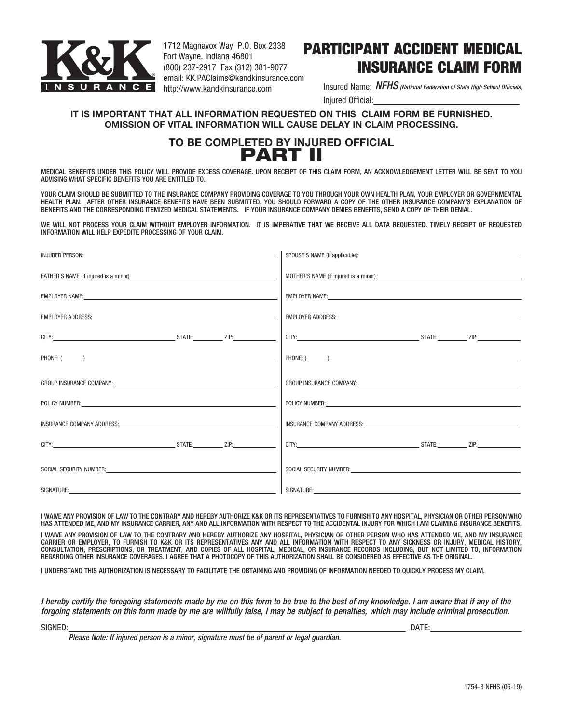

1712 Magnavox Way P.O. Box 2338 Fort Wayne, Indiana 46801 (800) 237-2917 Fax (312) 381-9077 email: KK.PAClaims@kandkinsurance.com http://www.kandkinsurance.com

## PARTICIPANT ACCIDENT MEDICAL INSURANCE CLAIM FORM

Insured Name: *NFHS (National Federation of State High School Officials)*Injured Official:

#### **IT IS IMPORTANT THAT ALL INFORMATION REQUESTED ON THIS CLAIM FORM BE FURNISHED. OMISSION OF VITAL INFORMATION WILL CAUSE DELAY IN CLAIM PROCESSING.**

### **TO BE COMPLETED BY INJURED OFFICIAL** PART II

MEDICAL BENEFITS UNDER THIS POLICY WILL PROVIDE EXCESS COVERAGE. UPON RECEIPT OF THIS CLAIM FORM, AN ACKNOWLEDGEMENT LETTER WILL BE SENT TO YOU ADVISING WHAT SPECIFIC BENEFITS YOU ARE ENTITLED TO.

YOUR CLAIM SHOULD BE SUBMITTED TO THE INSURANCE COMPANY PROVIDING COVERAGE TO YOU THROUGH YOUR OWN HEALTH PLAN, YOUR EMPLOYER OR GOVERNMENTAL HEALTH PLAN. AFTER OTHER INSURANCE BENEFITS HAVE BEEN SUBMITTED, YOU SHOULD FORWARD A COPY OF THE OTHER INSURANCE COMPANY'S EXPLANATION OF BENEFITS AND THE CORRESPONDING ITEMIZED MEDICAL STATEMENTS. IF YOUR INSURANCE COMPANY DENIES BENEFITS, SEND A COPY OF THEIR DENIAL.

WE WILL NOT PROCESS YOUR CLAIM WITHOUT EMPLOYER INFORMATION. IT IS IMPERATIVE THAT WE RECEIVE ALL DATA REQUESTED. TIMELY RECEIPT OF REQUESTED INFORMATION WILL HELP EXPEDITE PROCESSING OF YOUR CLAIM.

|                                                                                                                | EMPLOYER NAME: University of the contract of the contract of the contract of the contract of the contract of the contract of the contract of the contract of the contract of the contract of the contract of the contract of t |
|----------------------------------------------------------------------------------------------------------------|--------------------------------------------------------------------------------------------------------------------------------------------------------------------------------------------------------------------------------|
|                                                                                                                |                                                                                                                                                                                                                                |
|                                                                                                                |                                                                                                                                                                                                                                |
|                                                                                                                |                                                                                                                                                                                                                                |
|                                                                                                                | GROUP INSURANCE COMPANY: And the state of the state of the state of the state of the state of the state of the                                                                                                                 |
|                                                                                                                | POLICY NUMBER: University of the Contract of the Contract of the Contract of the Contract of the Contract of the Contract of the Contract of the Contract of the Contract of the Contract of the Contract of the Contract of t |
|                                                                                                                | INSURANCE COMPANY ADDRESS: WAS ARRESTED FOR A 200 FOR A 200 FOR A 200 FOR A 200 FOR A 200 FOR A 200 FOR A 200 FOR A 200 FOR A 200 FOR A 200 FOR A 200 FOR A 200 FOR A 200 FOR A 200 FOR A 200 FOR A 200 FOR A 200 FOR A 200 FO |
|                                                                                                                |                                                                                                                                                                                                                                |
| SOCIAL SECURITY NUMBER: CONTRACT CONTRACT CONTRACT CONTRACT CONTRACT CONTRACT CONTRACT CONTRACT CONTRACT CONTR | SOCIAL SECURITY NUMBER: CONTRACT CONTRACT CONTRACT CONTRACT CONTRACT CONTRACT CONTRACT CONTRACT CONTRACT CONTR                                                                                                                 |
| SIGNATURE:                                                                                                     | SIGNATURE:________________________                                                                                                                                                                                             |

I WAIVE ANY PROVISION OF LAW TO THE CONTRARY AND HEREBY AUTHORIZE K&K OR ITS REPRESENTATIVES TO FURNISH TO ANY HOSPITAL, PHYSICIAN OR OTHER PERSON WHO HAS ATTENDED ME, AND MY INSURANCE CARRIER, ANY AND ALL INFORMATION WITH RESPECT TO THE ACCIDENTAL INJURY FOR WHICH I AM CLAIMING INSURANCE BENEFITS.

I WAIVE ANY PROVISION OF LAW TO THE CONTRARY AND HEREBY AUTHORIZE ANY HOSPITAL, PHYSICIAN OR OTHER PERSON WHO HAS ATTENDED ME, AND MY INSURANCE CARRIER OR EMPLOYER, TO FURNISH TO K&K OR ITS REPRESENTATIVES ANY AND ALL INFORMATION WITH RESPECT TO ANY SICKNESS OR INJURY, MEDICAL HISTORY, CONSULTATION, PRESCRIPTIONS, OR TREATMENT, AND COPIES OF ALL HOSPITAL, MEDICAL, OR INSURANCE RECORDS INCLUDING, BUT NOT LIMITED TO, INFORMATION REGARDING OTHER INSURANCE COVERAGES. I AGREE THAT A PHOTOCOPY OF THIS AUTHORIZATION SHALL BE CONSIDERED AS EFFECTIVE AS THE ORIGINAL.

I UNDERSTAND THIS AUTHORIZATION IS NECESSARY TO FACILITATE THE OBTAINING AND PROVIDING OF INFORMATION NEEDED TO QUICKLY PROCESS MY CLAIM.

*I hereby certify the foregoing statements made by me on this form to be true to the best of my knowledge. I am aware that if any of the forgoing statements on this form made by me are willfully false, I may be subject to penalties, which may include criminal prosecution.*

SIGNED: DATE:

*Please Note: If injured person is a minor, signature must be of parent or legal guardian.*